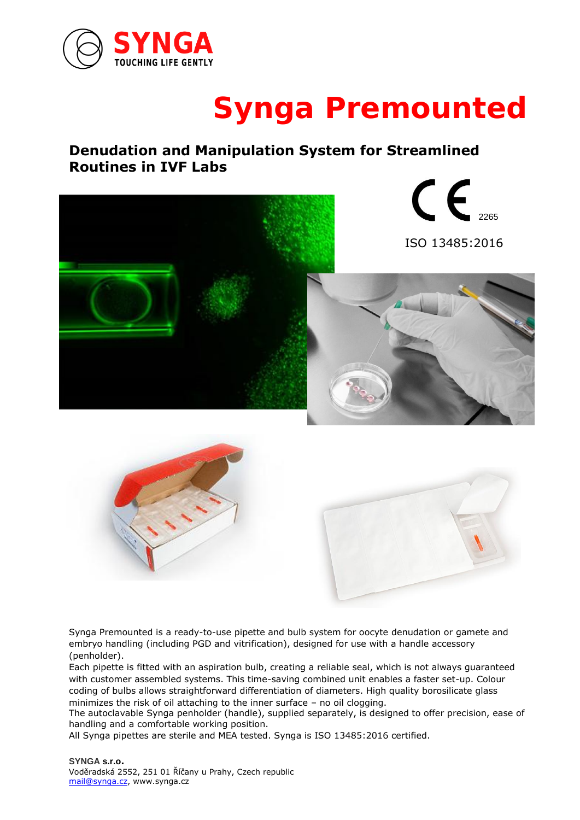

# **Synga Premounted**

## **Denudation and Manipulation System for Streamlined Routines in IVF Labs**



Synga Premounted is a ready-to-use pipette and bulb system for oocyte denudation or gamete and embryo handling (including PGD and vitrification), designed for use with a handle accessory (penholder).

Each pipette is fitted with an aspiration bulb, creating a reliable seal, which is not always guaranteed with customer assembled systems. This time-saving combined unit enables a faster set-up. Colour coding of bulbs allows straightforward differentiation of diameters. High quality borosilicate glass minimizes the risk of oil attaching to the inner surface – no oil clogging.

The autoclavable Synga penholder (handle), supplied separately, is designed to offer precision, ease of handling and a comfortable working position.

All Synga pipettes are sterile and MEA tested. Synga is ISO 13485:2016 certified.